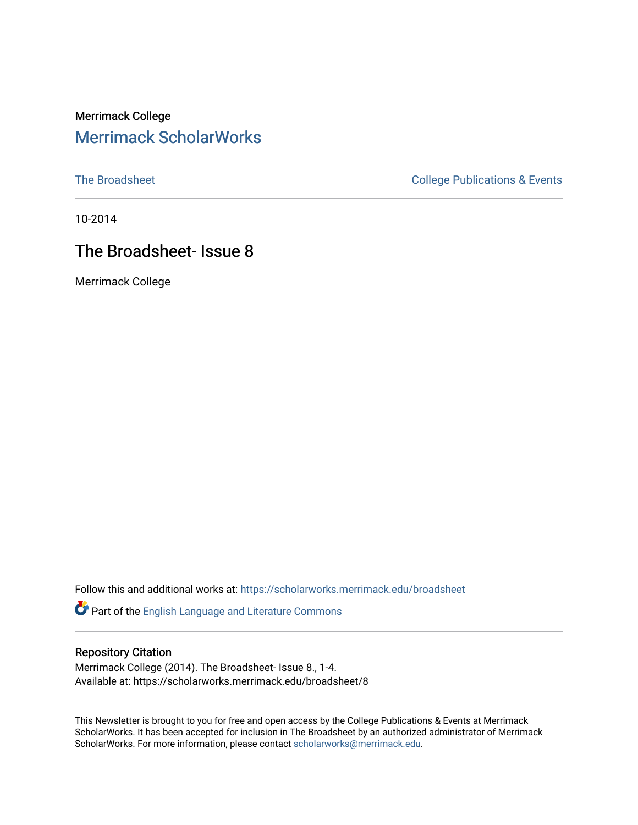## Merrimack College [Merrimack ScholarWorks](https://scholarworks.merrimack.edu/)

[The Broadsheet](https://scholarworks.merrimack.edu/broadsheet) **College Publications & Events** 

10-2014

# The Broadsheet- Issue 8

Merrimack College

Follow this and additional works at: [https://scholarworks.merrimack.edu/broadsheet](https://scholarworks.merrimack.edu/broadsheet?utm_source=scholarworks.merrimack.edu%2Fbroadsheet%2F8&utm_medium=PDF&utm_campaign=PDFCoverPages) 

Part of the [English Language and Literature Commons](http://network.bepress.com/hgg/discipline/455?utm_source=scholarworks.merrimack.edu%2Fbroadsheet%2F8&utm_medium=PDF&utm_campaign=PDFCoverPages)

#### Repository Citation

Merrimack College (2014). The Broadsheet- Issue 8., 1-4. Available at: https://scholarworks.merrimack.edu/broadsheet/8

This Newsletter is brought to you for free and open access by the College Publications & Events at Merrimack ScholarWorks. It has been accepted for inclusion in The Broadsheet by an authorized administrator of Merrimack ScholarWorks. For more information, please contact [scholarworks@merrimack.edu.](mailto:scholarworks@merrimack.edu)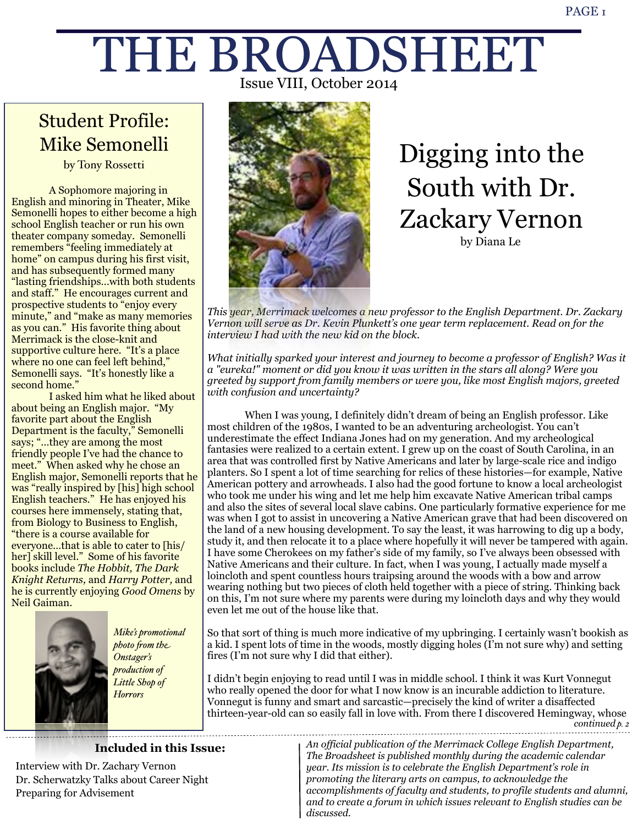# THE BROADSHEET Issue VIII, October 2014

# Student Profile: Mike Semonelli

by Tony Rossetti

 A Sophomore majoring in English and minoring in Theater, Mike Semonelli hopes to either become a high school English teacher or run his own theater company someday. Semonelli remembers "feeling immediately at home" on campus during his first visit, and has subsequently formed many "lasting friendships…with both students and staff." He encourages current and prospective students to "enjoy every minute," and "make as many memories as you can." His favorite thing about Merrimack is the close-knit and supportive culture here. "It's a place where no one can feel left behind," Semonelli says. "It's honestly like a second home."

 I asked him what he liked about about being an English major. "My favorite part about the English Department is the faculty," Semonelli says; "…they are among the most friendly people I've had the chance to meet." When asked why he chose an English major, Semonelli reports that he was "really inspired by [his] high school English teachers." He has enjoyed his courses here immensely, stating that, from Biology to Business to English, "there is a course available for everyone…that is able to cater to [his/ her] skill level." Some of his favorite books include *The Hobbit, The Dark Knight Returns,* and *Harry Potter,* and he is currently enjoying *Good Omens* by Neil Gaiman.



*Mike's promotional photo !om the Onstager's production of Little Shop of Horrors*

**Included in this Issue:**



by Diana Le Digging into the South with Dr. Zackary Vernon

*This year, Merrimack welcomes a new professor to the English Department. Dr. Zackary Vernon will serve as Dr. Kevin Plunkett's one year term replacement. Read on for the interview I had with the new kid on the block.*

*What initially sparked your interest and journey to become a professor of English? Was it a "eureka!" moment or did you know it was written in the stars all along? Were you greeted by support from family members or were you, like most English majors, greeted with confusion and uncertainty?*

 When I was young, I definitely didn't dream of being an English professor. Like most children of the 1980s, I wanted to be an adventuring archeologist. You can't underestimate the effect Indiana Jones had on my generation. And my archeological fantasies were realized to a certain extent. I grew up on the coast of South Carolina, in an area that was controlled first by Native Americans and later by large-scale rice and indigo planters. So I spent a lot of time searching for relics of these histories—for example, Native American pottery and arrowheads. I also had the good fortune to know a local archeologist who took me under his wing and let me help him excavate Native American tribal camps and also the sites of several local slave cabins. One particularly formative experience for me was when I got to assist in uncovering a Native American grave that had been discovered on the land of a new housing development. To say the least, it was harrowing to dig up a body, study it, and then relocate it to a place where hopefully it will never be tampered with again. I have some Cherokees on my father's side of my family, so I've always been obsessed with Native Americans and their culture. In fact, when I was young, I actually made myself a loincloth and spent countless hours traipsing around the woods with a bow and arrow wearing nothing but two pieces of cloth held together with a piece of string. Thinking back on this, I'm not sure where my parents were during my loincloth days and why they would even let me out of the house like that.

So that sort of thing is much more indicative of my upbringing. I certainly wasn't bookish as a kid. I spent lots of time in the woods, mostly digging holes (I'm not sure why) and setting fires (I'm not sure why I did that either).

I didn't begin enjoying to read until I was in middle school. I think it was Kurt Vonnegut who really opened the door for what I now know is an incurable addiction to literature. Vonnegut is funny and smart and sarcastic—precisely the kind of writer a disaffected thirteen-year-old can so easily fall in love with. From there I discovered Hemingway, whose *continued p. 2*

Interview with Dr. Zachary Vernon Dr. Scherwatzky Talks about Career Night Preparing for Advisement

*An official publication of the Merrimack College English Department, The Broadsheet is published monthly during the academic calendar year. Its mission is to celebrate the English Department's role in promoting the literary arts on campus, to acknowledge the accomplishments of faculty and students, to profile students and alumni, and to create a forum in which issues relevant to English studies can be discussed.*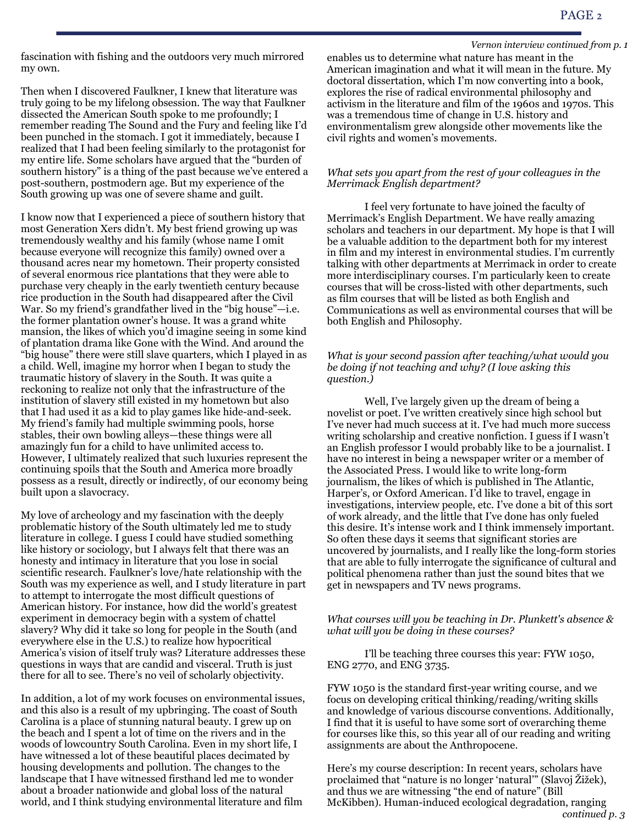fascination with fishing and the outdoors very much mirrored my own.

Then when I discovered Faulkner, I knew that literature was truly going to be my lifelong obsession. The way that Faulkner dissected the American South spoke to me profoundly; I remember reading The Sound and the Fury and feeling like I'd been punched in the stomach. I got it immediately, because I realized that I had been feeling similarly to the protagonist for my entire life. Some scholars have argued that the "burden of southern history" is a thing of the past because we've entered a post-southern, postmodern age. But my experience of the South growing up was one of severe shame and guilt.

I know now that I experienced a piece of southern history that most Generation Xers didn't. My best friend growing up was tremendously wealthy and his family (whose name I omit because everyone will recognize this family) owned over a thousand acres near my hometown. Their property consisted of several enormous rice plantations that they were able to purchase very cheaply in the early twentieth century because rice production in the South had disappeared after the Civil War. So my friend's grandfather lived in the "big house"—i.e. the former plantation owner's house. It was a grand white mansion, the likes of which you'd imagine seeing in some kind of plantation drama like Gone with the Wind. And around the "big house" there were still slave quarters, which I played in as a child. Well, imagine my horror when I began to study the traumatic history of slavery in the South. It was quite a reckoning to realize not only that the infrastructure of the institution of slavery still existed in my hometown but also that I had used it as a kid to play games like hide-and-seek. My friend's family had multiple swimming pools, horse stables, their own bowling alleys—these things were all amazingly fun for a child to have unlimited access to. However, I ultimately realized that such luxuries represent the continuing spoils that the South and America more broadly possess as a result, directly or indirectly, of our economy being built upon a slavocracy.

My love of archeology and my fascination with the deeply problematic history of the South ultimately led me to study literature in college. I guess I could have studied something like history or sociology, but I always felt that there was an honesty and intimacy in literature that you lose in social scientific research. Faulkner's love/hate relationship with the South was my experience as well, and I study literature in part to attempt to interrogate the most difficult questions of American history. For instance, how did the world's greatest experiment in democracy begin with a system of chattel slavery? Why did it take so long for people in the South (and everywhere else in the U.S.) to realize how hypocritical America's vision of itself truly was? Literature addresses these questions in ways that are candid and visceral. Truth is just there for all to see. There's no veil of scholarly objectivity.

In addition, a lot of my work focuses on environmental issues, and this also is a result of my upbringing. The coast of South Carolina is a place of stunning natural beauty. I grew up on the beach and I spent a lot of time on the rivers and in the woods of lowcountry South Carolina. Even in my short life, I have witnessed a lot of these beautiful places decimated by housing developments and pollution. The changes to the landscape that I have witnessed firsthand led me to wonder about a broader nationwide and global loss of the natural world, and I think studying environmental literature and film

#### *Vernon interview continued from p. 1*

enables us to determine what nature has meant in the American imagination and what it will mean in the future. My doctoral dissertation, which I'm now converting into a book, explores the rise of radical environmental philosophy and activism in the literature and film of the 1960s and 1970s. This was a tremendous time of change in U.S. history and environmentalism grew alongside other movements like the civil rights and women's movements.

#### *What sets you apart from the rest of your colleagues in the Merrimack English department?*

 I feel very fortunate to have joined the faculty of Merrimack's English Department. We have really amazing scholars and teachers in our department. My hope is that I will be a valuable addition to the department both for my interest in film and my interest in environmental studies. I'm currently talking with other departments at Merrimack in order to create more interdisciplinary courses. I'm particularly keen to create courses that will be cross-listed with other departments, such as film courses that will be listed as both English and Communications as well as environmental courses that will be both English and Philosophy.

#### *What is your second passion after teaching/what would you be doing if not teaching and why? (I love asking this question.)*

 Well, I've largely given up the dream of being a novelist or poet. I've written creatively since high school but I've never had much success at it. I've had much more success writing scholarship and creative nonfiction. I guess if I wasn't an English professor I would probably like to be a journalist. I have no interest in being a newspaper writer or a member of the Associated Press. I would like to write long-form journalism, the likes of which is published in The Atlantic, Harper's, or Oxford American. I'd like to travel, engage in investigations, interview people, etc. I've done a bit of this sort of work already, and the little that I've done has only fueled this desire. It's intense work and I think immensely important. So often these days it seems that significant stories are uncovered by journalists, and I really like the long-form stories that are able to fully interrogate the significance of cultural and political phenomena rather than just the sound bites that we get in newspapers and TV news programs.

*What courses will you be teaching in Dr. Plunkett's absence & what will you be doing in these courses?*

 I'll be teaching three courses this year: FYW 1050, ENG 2770, and ENG 3735.

FYW 1050 is the standard first-year writing course, and we focus on developing critical thinking/reading/writing skills and knowledge of various discourse conventions. Additionally, I find that it is useful to have some sort of overarching theme for courses like this, so this year all of our reading and writing assignments are about the Anthropocene.

Here's my course description: In recent years, scholars have proclaimed that "nature is no longer 'natural'" (Slavoj Žižek), and thus we are witnessing "the end of nature" (Bill McKibben). Human-induced ecological degradation, ranging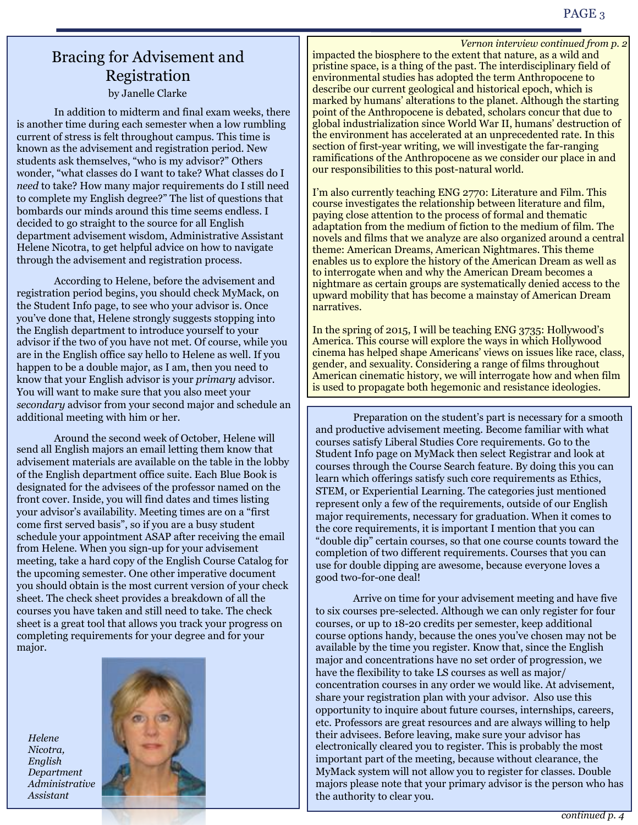### Bracing for Advisement and Registration by Janelle Clarke

 In addition to midterm and final exam weeks, there is another time during each semester when a low rumbling current of stress is felt throughout campus. This time is known as the advisement and registration period. New students ask themselves, "who is my advisor?" Others wonder, "what classes do I want to take? What classes do I *need* to take? How many major requirements do I still need to complete my English degree?" The list of questions that bombards our minds around this time seems endless. I decided to go straight to the source for all English department advisement wisdom, Administrative Assistant Helene Nicotra, to get helpful advice on how to navigate through the advisement and registration process.

 According to Helene, before the advisement and registration period begins, you should check MyMack, on the Student Info page, to see who your advisor is. Once you've done that, Helene strongly suggests stopping into the English department to introduce yourself to your advisor if the two of you have not met. Of course, while you are in the English office say hello to Helene as well. If you happen to be a double major, as I am, then you need to know that your English advisor is your *primary* advisor. You will want to make sure that you also meet your *secondary* advisor from your second major and schedule an additional meeting with him or her.

 Around the second week of October, Helene will send all English majors an email letting them know that advisement materials are available on the table in the lobby of the English department office suite. Each Blue Book is designated for the advisees of the professor named on the front cover. Inside, you will find dates and times listing your advisor's availability. Meeting times are on a "first come first served basis", so if you are a busy student schedule your appointment ASAP after receiving the email from Helene. When you sign-up for your advisement meeting, take a hard copy of the English Course Catalog for the upcoming semester. One other imperative document you should obtain is the most current version of your check sheet. The check sheet provides a breakdown of all the courses you have taken and still need to take. The check sheet is a great tool that allows you track your progress on completing requirements for your degree and for your major.

*Helene Nicotra, English Department Administrative Assistant*



impacted the biosphere to the extent that nature, as a wild and pristine space, is a thing of the past. The interdisciplinary field of environmental studies has adopted the term Anthropocene to describe our current geological and historical epoch, which is marked by humans' alterations to the planet. Although the starting point of the Anthropocene is debated, scholars concur that due to global industrialization since World War II, humans' destruction of the environment has accelerated at an unprecedented rate. In this section of first-year writing, we will investigate the far-ranging ramifications of the Anthropocene as we consider our place in and our responsibilities to this post-natural world. *Vernon interview continued from p. 2*

I'm also currently teaching ENG 2770: Literature and Film. This course investigates the relationship between literature and film, paying close attention to the process of formal and thematic adaptation from the medium of fiction to the medium of film. The novels and films that we analyze are also organized around a central theme: American Dreams, American Nightmares. This theme enables us to explore the history of the American Dream as well as to interrogate when and why the American Dream becomes a nightmare as certain groups are systematically denied access to the upward mobility that has become a mainstay of American Dream narratives.

In the spring of 2015, I will be teaching ENG 3735: Hollywood's America. This course will explore the ways in which Hollywood cinema has helped shape Americans' views on issues like race, class, gender, and sexuality. Considering a range of films throughout American cinematic history, we will interrogate how and when film is used to propagate both hegemonic and resistance ideologies.

 Preparation on the student's part is necessary for a smooth and productive advisement meeting. Become familiar with what courses satisfy Liberal Studies Core requirements. Go to the Student Info page on MyMack then select Registrar and look at courses through the Course Search feature. By doing this you can learn which offerings satisfy such core requirements as Ethics, STEM, or Experiential Learning. The categories just mentioned represent only a few of the requirements, outside of our English major requirements, necessary for graduation. When it comes to the core requirements, it is important I mention that you can "double dip" certain courses, so that one course counts toward the completion of two different requirements. Courses that you can use for double dipping are awesome, because everyone loves a good two-for-one deal!

 Arrive on time for your advisement meeting and have five to six courses pre-selected. Although we can only register for four courses, or up to 18-20 credits per semester, keep additional course options handy, because the ones you've chosen may not be available by the time you register. Know that, since the English major and concentrations have no set order of progression, we have the flexibility to take LS courses as well as major/ concentration courses in any order we would like. At advisement, share your registration plan with your advisor. Also use this opportunity to inquire about future courses, internships, careers, etc. Professors are great resources and are always willing to help their advisees. Before leaving, make sure your advisor has electronically cleared you to register. This is probably the most important part of the meeting, because without clearance, the MyMack system will not allow you to register for classes. Double majors please note that your primary advisor is the person who has the authority to clear you.